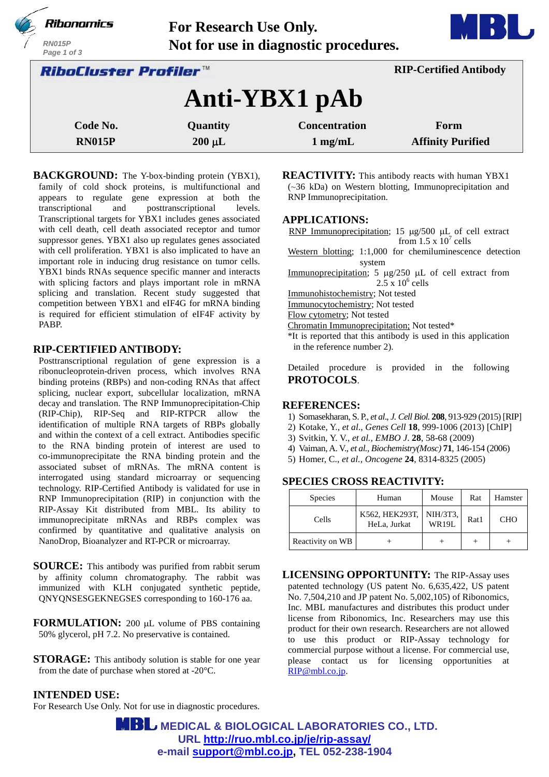| Ribonomics<br><b>RN015P</b><br>Page 1 of 3 | For Research Use Only. | Not for use in diagnostic procedures. |                               |  |
|--------------------------------------------|------------------------|---------------------------------------|-------------------------------|--|
| RiboCluster Profiler™                      |                        |                                       | <b>RIP-Certified Antibody</b> |  |
|                                            |                        | Anti-YBX1 pAb                         |                               |  |
| Code No.                                   | Quantity               | <b>Concentration</b>                  | Form                          |  |
| <b>RN015P</b>                              | $200 \mu L$            | $1$ mg/mL                             | <b>Affinity Purified</b>      |  |

**BACKGROUND:** The Y-box-binding protein (YBX1), family of cold shock proteins, is multifunctional and appears to regulate gene expression at both the transcriptional and posttranscriptional levels. Transcriptional targets for YBX1 includes genes associated with cell death, cell death associated receptor and tumor suppressor genes. YBX1 also up regulates genes associated with cell proliferation. YBX1 is also implicated to have an important role in inducing drug resistance on tumor cells. YBX1 binds RNAs sequence specific manner and interacts with splicing factors and plays important role in mRNA splicing and translation. Recent study suggested that competition between YBX1 and eIF4G for mRNA binding is required for efficient stimulation of eIF4F activity by PABP.

## **RIP-CERTIFIED ANTIBODY:**

Posttranscriptional regulation of gene expression is a ribonucleoprotein-driven process, which involves RNA binding proteins (RBPs) and non-coding RNAs that affect splicing, nuclear export, subcellular localization, mRNA decay and translation. The RNP Immunoprecipitation-Chip (RIP-Chip), RIP-Seq and RIP-RTPCR allow the identification of multiple RNA targets of RBPs globally and within the context of a cell extract. Antibodies specific to the RNA binding protein of interest are used to co-immunoprecipitate the RNA binding protein and the associated subset of mRNAs. The mRNA content is interrogated using standard microarray or sequencing technology. RIP-Certified Antibody is validated for use in RNP Immunoprecipitation (RIP) in conjunction with the RIP-Assay Kit distributed from MBL. Its ability to immunoprecipitate mRNAs and RBPs complex was confirmed by quantitative and qualitative analysis on NanoDrop, Bioanalyzer and RT-PCR or microarray.

- **SOURCE:** This antibody was purified from rabbit serum by affinity column chromatography. The rabbit was immunized with KLH conjugated synthetic peptide, QNYQNSESGEKNEGSES corresponding to 160-176 aa.
- **FORMULATION:** 200 µL volume of PBS containing 50% glycerol, pH 7.2. No preservative is contained.
- **STORAGE:** This antibody solution is stable for one year from the date of purchase when stored at -20°C.

**REACTIVITY:** This antibody reacts with human YBX1 (~36 kDa) on Western blotting, Immunoprecipitation and RNP Immunoprecipitation.

#### **APPLICATIONS:**

RNP Immunoprecipitation; 15  $\mu$ g/500  $\mu$ L of cell extract from  $1.5 \times 10^7$  cells

- Western blotting; 1:1,000 for chemiluminescence detection system
- Immunoprecipitation; 5  $\mu$ g/250  $\mu$ L of cell extract from  $2.5 \times 10^6$  cells

Immunohistochemistry; Not tested

Immunocytochemistry; Not tested

Flow cytometry; Not tested

- Chromatin Immunoprecipitation; Not tested\*
- \*It is reported that this antibody is used in this application in the reference number 2).

Detailed procedure is provided in the following **PROTOCOLS**.

## **REFERENCES:**

- 1) Somasekharan, S. P., *et al*., *J. Cell Biol.* **208**, 913-929 (2015) [RIP]
- 2) Kotake, Y., *et al*., *Genes Cell* **18**, 999-1006 (2013) [ChIP]
- 3) Svitkin, Y. V., *et al., EMBO J*. **28**, 58-68 (2009)
- 4) Vaiman, A. V., *et al., Biochemistry(Mosc)* **71**, 146-154 (2006)
- 5) Homer, C., *et al., Oncogene* **24**, 8314-8325 (2005)

# **SPECIES CROSS REACTIVITY:**

| <b>Species</b>   | Human                          | Mouse                    | Rat  | Hamster    |
|------------------|--------------------------------|--------------------------|------|------------|
| Cells            | K562, HEK293T,<br>HeLa, Jurkat | NIH/3T3,<br><b>WR19L</b> | Rat1 | <b>CHO</b> |
| Reactivity on WB |                                |                          |      |            |

**LICENSING OPPORTUNITY:** The RIP-Assay uses patented technology (US patent No. 6,635,422, US patent No. 7,504,210 and JP patent No. 5,002,105) of Ribonomics, Inc. MBL manufactures and distributes this product under license from Ribonomics, Inc. Researchers may use this product for their own research. Researchers are not allowed to use this product or RIP-Assay technology for commercial purpose without a license. For commercial use, please contact us for licensing opportunities at [RIP@mbl.co.jp.](mailto:RIP@mbl.co.jp)

# **INTENDED USE:**

For Research Use Only. Not for use in diagnostic procedures.

 **MEDICAL & BIOLOGICAL LABORATORIES CO., LTD. URL <http://ruo.mbl.co.jp/je/rip-assay/> e-mail [support@mbl.co.jp,](mailto:support@mbl.co.jp) TEL 052-238-1904**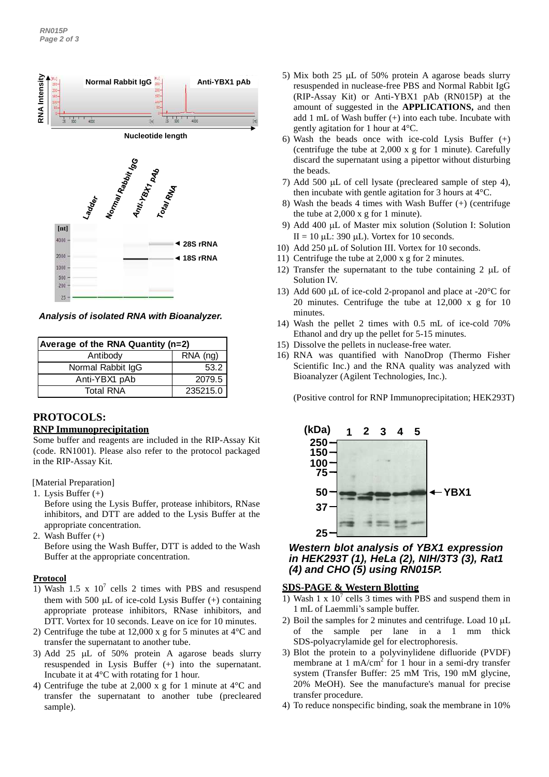

*Analysis of isolated RNA with Bioanalyzer.*

| Average of the RNA Quantity (n=2) |                        |  |
|-----------------------------------|------------------------|--|
| Antibody                          | $\overline{R}$ NA (ng) |  |
| Normal Rabbit IgG                 | 53.2                   |  |
| Anti-YBX1 pAb                     | 2079.5                 |  |
| <b>Total RNA</b>                  | 235215.0               |  |

# **PROTOCOLS:**

#### **RNP Immunoprecipitation**

Some buffer and reagents are included in the RIP-Assay Kit (code. RN1001). Please also refer to the protocol packaged in the RIP-Assay Kit.

[Material Preparation]

- 1. Lysis Buffer (+)
	- Before using the Lysis Buffer, protease inhibitors, RNase inhibitors, and DTT are added to the Lysis Buffer at the appropriate concentration.
- 2. Wash Buffer (+) Before using the Wash Buffer, DTT is added to the Wash Buffer at the appropriate concentration.

## **Protocol**

- 1) Wash 1.5 x  $10^7$  cells 2 times with PBS and resuspend them with 500  $\mu$ L of ice-cold Lysis Buffer (+) containing appropriate protease inhibitors, RNase inhibitors, and DTT. Vortex for 10 seconds. Leave on ice for 10 minutes.
- 2) Centrifuge the tube at 12,000 x g for 5 minutes at 4°C and transfer the supernatant to another tube.
- 3) Add 25  $\mu$ L of 50% protein A agarose beads slurry resuspended in Lysis Buffer (+) into the supernatant. Incubate it at 4°C with rotating for 1 hour.
- 4) Centrifuge the tube at 2,000 x g for 1 minute at 4°C and transfer the supernatant to another tube (precleared sample).
- 5) Mix both 25  $\mu$ L of 50% protein A agarose beads slurry resuspended in nuclease-free PBS and Normal Rabbit IgG (RIP-Assay Kit) or Anti-YBX1 pAb (RN015P) at the amount of suggested in the **APPLICATIONS,** and then add 1 mL of Wash buffer (+) into each tube. Incubate with gently agitation for 1 hour at 4°C.
- 6) Wash the beads once with ice-cold Lysis Buffer  $(+)$ (centrifuge the tube at 2,000 x g for 1 minute). Carefully discard the supernatant using a pipettor without disturbing the beads.
- 7) Add 500  $\mu$ L of cell lysate (precleared sample of step 4), then incubate with gentle agitation for 3 hours at 4°C.
- 8) Wash the beads 4 times with Wash Buffer (+) (centrifuge the tube at 2,000 x g for 1 minute).
- 9) Add 400 µL of Master mix solution (Solution I: Solution II = 10  $\mu$ L: 390  $\mu$ L). Vortex for 10 seconds.
- 10) Add 250 µL of Solution III. Vortex for 10 seconds.
- 11) Centrifuge the tube at 2,000 x g for 2 minutes.
- 12) Transfer the supernatant to the tube containing  $2 \mu L$  of Solution IV.
- 13) Add 600  $\mu$ L of ice-cold 2-propanol and place at -20 $\degree$ C for 20 minutes. Centrifuge the tube at 12,000 x g for 10 minutes.
- 14) Wash the pellet 2 times with 0.5 mL of ice-cold 70% Ethanol and dry up the pellet for 5-15 minutes.
- 15) Dissolve the pellets in nuclease-free water.
- 16) RNA was quantified with NanoDrop (Thermo Fisher Scientific Inc.) and the RNA quality was analyzed with Bioanalyzer (Agilent Technologies, Inc.).

(Positive control for RNP Immunoprecipitation; HEK293T)



## *Western blot analysis of YBX1 expression in HEK293T (1), HeLa (2), NIH/3T3 (3), Rat1 (4) and CHO (5) using RN015P.*

## **SDS-PAGE & Western Blotting**

- 1) Wash 1 x  $10^7$  cells 3 times with PBS and suspend them in 1 mL of Laemmli's sample buffer.
- 2) Boil the samples for 2 minutes and centrifuge. Load  $10 \mu L$ of the sample per lane in a 1 mm thick SDS-polyacrylamide gel for electrophoresis.
- 3) Blot the protein to a polyvinylidene difluoride (PVDF) membrane at 1 mA/cm<sup>2</sup> for 1 hour in a semi-dry transfer system (Transfer Buffer: 25 mM Tris, 190 mM glycine, 20% MeOH). See the manufacture's manual for precise transfer procedure.
- 4) To reduce nonspecific binding, soak the membrane in 10%